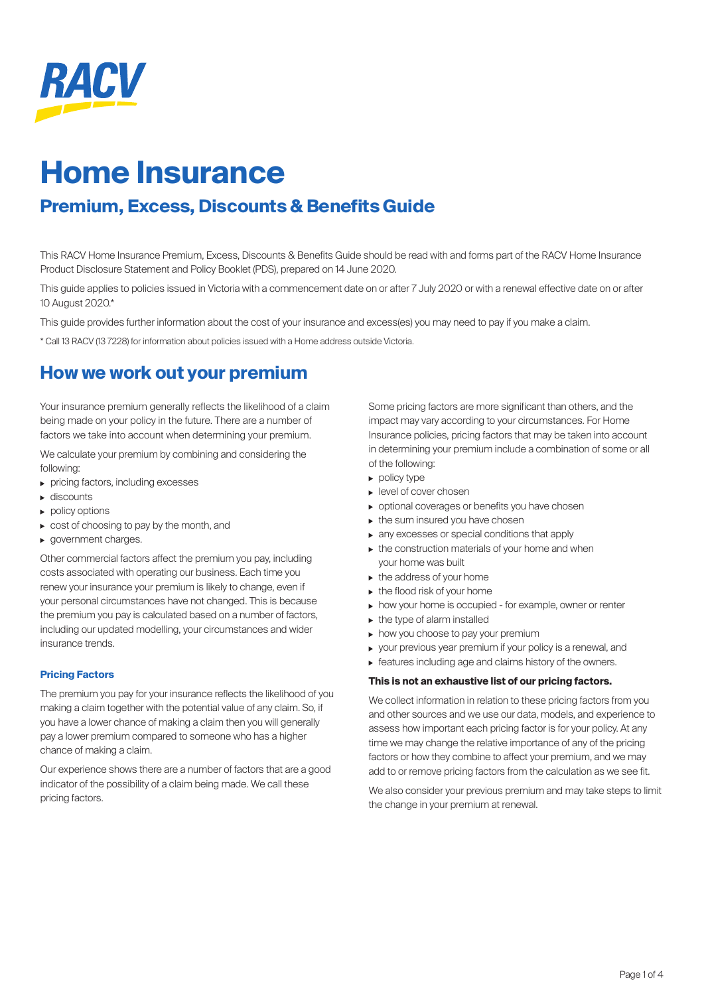

# **Home Insurance**

# **Premium, Excess, Discounts & Benefits Guide**

This RACV Home Insurance Premium, Excess, Discounts & Benefits Guide should be read with and forms part of the RACV Home Insurance Product Disclosure Statement and Policy Booklet (PDS), prepared on 14 June 2020.

This guide applies to policies issued in Victoria with a commencement date on or after 7 July 2020 or with a renewal effective date on or after 10 August 2020.\*

This guide provides further information about the cost of your insurance and excess(es) you may need to pay if you make a claim.

\* Call 13 RACV (13 7228) for information about policies issued with a Home address outside Victoria.

# **How we work out your premium**

Your insurance premium generally reflects the likelihood of a claim being made on your policy in the future. There are a number of factors we take into account when determining your premium.

We calculate your premium by combining and considering the following:

- pricing factors, including excesses
- ▶ discounts
- $\blacktriangleright$  policy options
- cost of choosing to pay by the month, and
- **p** government charges.

Other commercial factors affect the premium you pay, including costs associated with operating our business. Each time you renew your insurance your premium is likely to change, even if your personal circumstances have not changed. This is because the premium you pay is calculated based on a number of factors, including our updated modelling, your circumstances and wider insurance trends.

### **Pricing Factors**

The premium you pay for your insurance reflects the likelihood of you making a claim together with the potential value of any claim. So, if you have a lower chance of making a claim then you will generally pay a lower premium compared to someone who has a higher chance of making a claim.

Our experience shows there are a number of factors that are a good indicator of the possibility of a claim being made. We call these pricing factors.

Some pricing factors are more significant than others, and the impact may vary according to your circumstances. For Home Insurance policies, pricing factors that may be taken into account in determining your premium include a combination of some or all of the following:

- $\triangleright$  policy type
- **Level of cover chosen**
- optional coverages or benefits you have chosen
- $\triangleright$  the sum insured you have chosen
- any excesses or special conditions that apply
- $\triangleright$  the construction materials of your home and when your home was built
- $\blacktriangleright$  the address of your home
- $\blacktriangleright$  the flood risk of your home
- how your home is occupied for example, owner or renter
- $\blacktriangleright$  the type of alarm installed
- $\triangleright$  how you choose to pay your premium
- your previous year premium if your policy is a renewal, and
- features including age and claims history of the owners.

### **This is not an exhaustive list of our pricing factors.**

We collect information in relation to these pricing factors from you and other sources and we use our data, models, and experience to assess how important each pricing factor is for your policy. At any time we may change the relative importance of any of the pricing factors or how they combine to affect your premium, and we may add to or remove pricing factors from the calculation as we see fit.

We also consider your previous premium and may take steps to limit the change in your premium at renewal.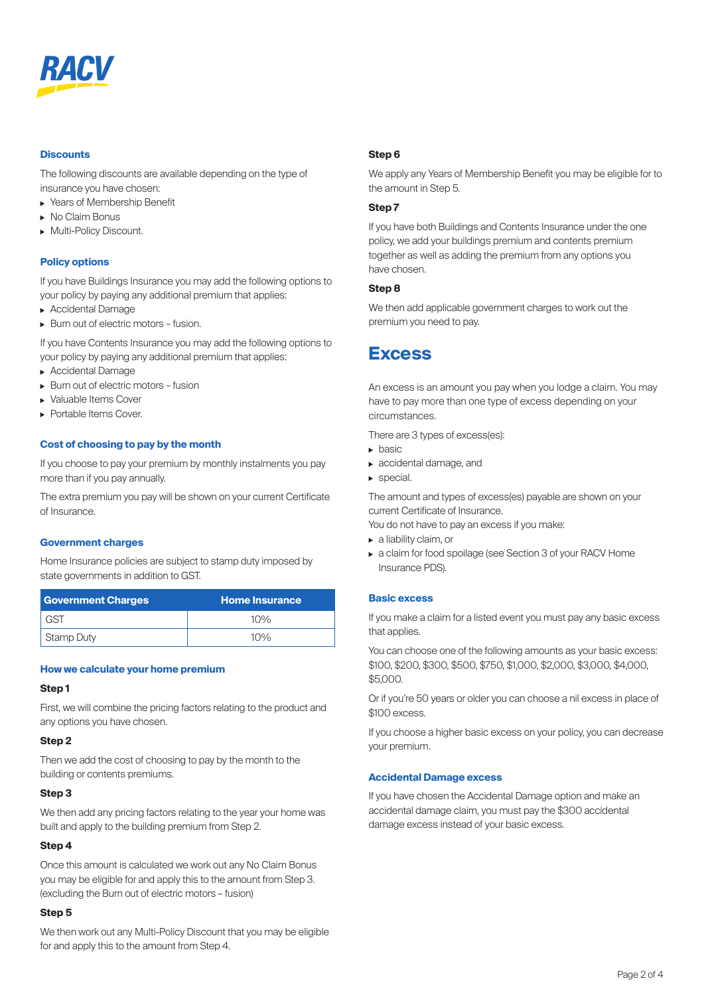

### **Discounts**

The following discounts are available depending on the type of insurance you have chosen:

- ▶ Years of Membership Benefit
- No Claim Bonus
- **Multi-Policy Discount.**

### **Policy options**

If you have Buildings Insurance you may add the following options to your policy by paying any additional premium that applies:

- **Accidental Damage**
- Burn out of electric motors fusion.

If you have Contents Insurance you may add the following options to your policy by paying any additional premium that applies:

- **Accidental Damage**
- Burn out of electric motors fusion
- Valuable Items Cover
- **Portable Items Cover.**

### **Cost of choosing to pay by the month**

If you choose to pay your premium by monthly instalments you pay more than if you pay annually.

The extra premium you pay will be shown on your current Certificate of Insurance.

### **Government charges**

Home Insurance policies are subject to stamp duty imposed by state governments in addition to GST.

| <b>Government Charges</b> | <b>Home Insurance</b> |
|---------------------------|-----------------------|
| GST                       | $10\%$                |
| <b>Stamp Duty</b>         | $10\%$                |

### **How we calculate your home premium**

### **Step 1**

First, we will combine the pricing factors relating to the product and any options you have chosen.

### **Step 2**

Then we add the cost of choosing to pay by the month to the building or contents premiums.

### **Step 3**

We then add any pricing factors relating to the year your home was built and apply to the building premium from Step 2.

### **Step 4**

Once this amount is calculated we work out any No Claim Bonus you may be eligible for and apply this to the amount from Step 3. (excluding the Burn out of electric motors – fusion)

### **Step 5**

We then work out any Multi-Policy Discount that you may be eligible for and apply this to the amount from Step 4.

### **Step 6**

We apply any Years of Membership Benefit you may be eligible for to the amount in Step 5.

### **Step 7**

If you have both Buildings and Contents Insurance under the one policy, we add your buildings premium and contents premium together as well as adding the premium from any options you have chosen.

### **Step 8**

We then add applicable government charges to work out the premium you need to pay.

### **Excess**

An excess is an amount you pay when you lodge a claim. You may have to pay more than one type of excess depending on your circumstances.

There are 3 types of excess(es):

- $\blacktriangleright$  hasic
- accidental damage, and
- special.

The amount and types of excess(es) payable are shown on your current Certificate of Insurance.

You do not have to pay an excess if you make:

- ▶ a liability claim, or
- a claim for food spoilage (see Section 3 of your RACV Home Insurance PDS).

### **Basic excess**

If you make a claim for a listed event you must pay any basic excess that applies.

You can choose one of the following amounts as your basic excess: \$100, \$200, \$300, \$500, \$750, \$1,000, \$2,000, \$3,000, \$4,000, \$5,000.

Or if you're 50 years or older you can choose a nil excess in place of \$100 excess.

If you choose a higher basic excess on your policy, you can decrease your premium.

#### **Accidental Damage excess**

If you have chosen the Accidental Damage option and make an accidental damage claim, you must pay the \$300 accidental damage excess instead of your basic excess.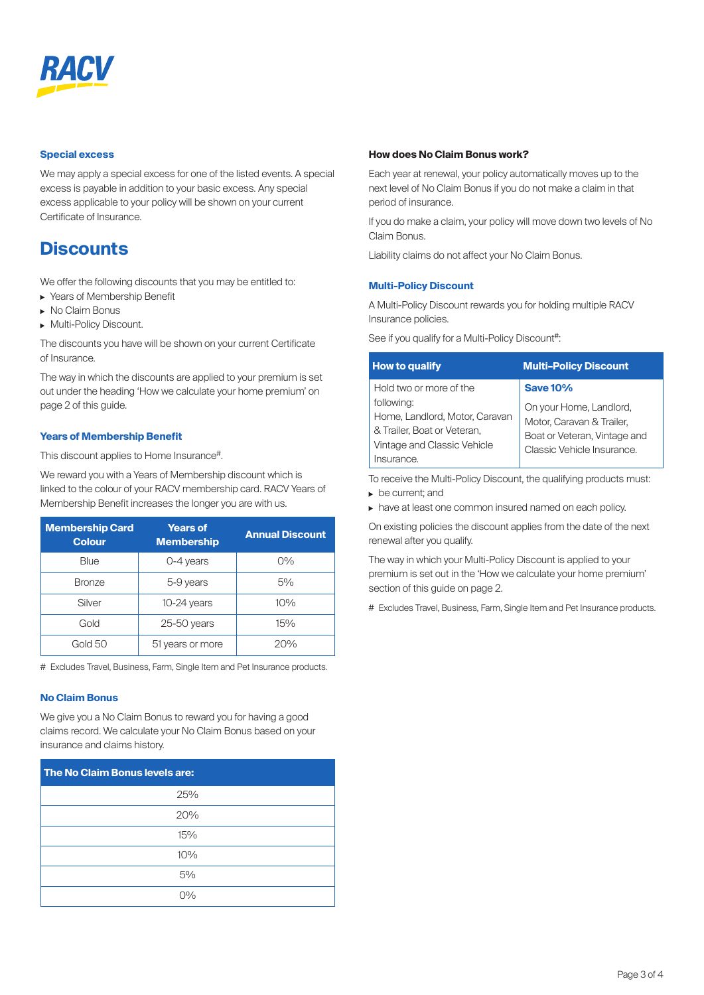

### **Special excess**

We may apply a special excess for one of the listed events. A special excess is payable in addition to your basic excess. Any special excess applicable to your policy will be shown on your current Certificate of Insurance.

## **Discounts**

We offer the following discounts that you may be entitled to:

- ▶ Years of Membership Benefit
- ▶ No Claim Bonus
- **Multi-Policy Discount.**

The discounts you have will be shown on your current Certificate of Insurance.

The way in which the discounts are applied to your premium is set out under the heading 'How we calculate your home premium' on page 2 of this guide.

### **Years of Membership Benefit**

This discount applies to Home Insurance#.

We reward you with a Years of Membership discount which is linked to the colour of your RACV membership card. RACV Years of Membership Benefit increases the longer you are with us.

| <b>Membership Card</b><br><b>Colour</b> | <b>Years of</b><br><b>Membership</b> | <b>Annual Discount</b> |
|-----------------------------------------|--------------------------------------|------------------------|
| Blue                                    | 0-4 years                            | $O\%$                  |
| <b>Bronze</b>                           | 5-9 years                            | 5%                     |
| Silver                                  | $10-24$ years                        | 10%                    |
| Gold                                    | $25-50$ years                        | 15%                    |
| Gold 50                                 | 51 years or more                     | 20%                    |

# Excludes Travel, Business, Farm, Single Item and Pet Insurance products.

### **No Claim Bonus**

We give you a No Claim Bonus to reward you for having a good claims record. We calculate your No Claim Bonus based on your insurance and claims history.

| The No Claim Bonus levels are: |  |  |
|--------------------------------|--|--|
| 25%                            |  |  |
| 20%                            |  |  |
| 15%                            |  |  |
| 10%                            |  |  |
| 5%                             |  |  |
| $O\%$                          |  |  |

### **How does No Claim Bonus work?**

Each year at renewal, your policy automatically moves up to the next level of No Claim Bonus if you do not make a claim in that period of insurance.

If you do make a claim, your policy will move down two levels of No Claim Bonus.

Liability claims do not affect your No Claim Bonus.

### **Multi-Policy Discount**

A Multi-Policy Discount rewards you for holding multiple RACV Insurance policies.

See if you qualify for a Multi-Policy Discount#:

| <b>How to qualify</b>                                                                                                                               | <b>Multi-Policy Discount</b>                                                                                                         |
|-----------------------------------------------------------------------------------------------------------------------------------------------------|--------------------------------------------------------------------------------------------------------------------------------------|
| Hold two or more of the<br>following:<br>Home, Landlord, Motor, Caravan<br>& Trailer, Boat or Veteran,<br>Vintage and Classic Vehicle<br>Insurance. | <b>Save 10%</b><br>On your Home, Landlord,<br>Motor, Caravan & Trailer,<br>Boat or Veteran, Vintage and<br>Classic Vehicle Insurance |

To receive the Multi-Policy Discount, the qualifying products must: be current; and

have at least one common insured named on each policy.

On existing policies the discount applies from the date of the next renewal after you qualify.

The way in which your Multi-Policy Discount is applied to your premium is set out in the 'How we calculate your home premium' section of this guide on page 2.

# Excludes Travel, Business, Farm, Single Item and Pet Insurance products.